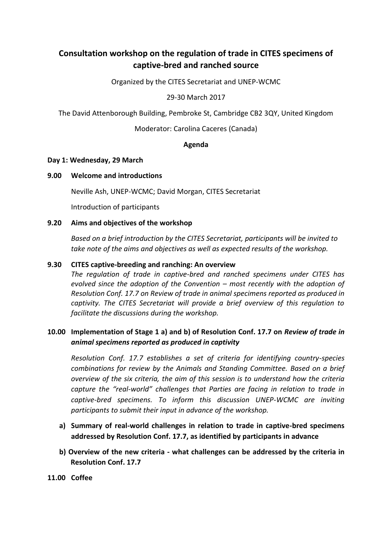# **Consultation workshop on the regulation of trade in CITES specimens of captive-bred and ranched source**

Organized by the CITES Secretariat and UNEP-WCMC

29-30 March 2017

The David Attenborough Building, Pembroke St, Cambridge CB2 3QY, United Kingdom

Moderator: Carolina Caceres (Canada)

#### **Agenda**

#### **Day 1: Wednesday, 29 March**

## **9.00 Welcome and introductions**

Neville Ash, UNEP-WCMC; David Morgan, CITES Secretariat

Introduction of participants

## **9.20 Aims and objectives of the workshop**

*Based on a brief introduction by the CITES Secretariat, participants will be invited to take note of the aims and objectives as well as expected results of the workshop.* 

## **9.30 CITES captive-breeding and ranching: An overview**

*The regulation of trade in captive-bred and ranched specimens under CITES has evolved since the adoption of the Convention – most recently with the adoption of Resolution Conf. 17.7 on Review of trade in animal specimens reported as produced in captivity. The CITES Secretariat will provide a brief overview of this regulation to facilitate the discussions during the workshop.* 

# **10.00 Implementation of Stage 1 a) and b) of Resolution Conf. 17.7 on** *Review of trade in animal specimens reported as produced in captivity*

*Resolution Conf. 17.7 establishes a set of criteria for identifying country-species combinations for review by the Animals and Standing Committee. Based on a brief overview of the six criteria, the aim of this session is to understand how the criteria capture the "real-world" challenges that Parties are facing in relation to trade in captive-bred specimens. To inform this discussion UNEP-WCMC are inviting participants to submit their input in advance of the workshop.* 

- **a) Summary of real-world challenges in relation to trade in captive-bred specimens addressed by Resolution Conf. 17.7, as identified by participants in advance**
- **b) Overview of the new criteria - what challenges can be addressed by the criteria in Resolution Conf. 17.7**
- **11.00 Coffee**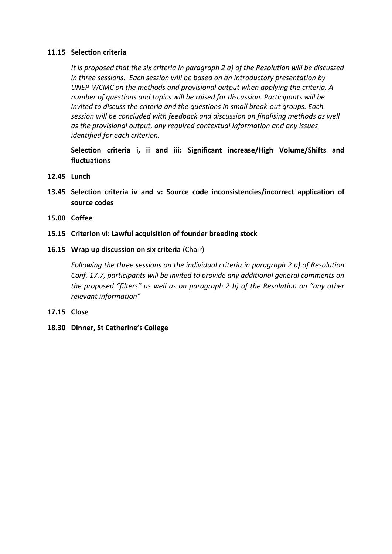#### **11.15 Selection criteria**

*It is proposed that the six criteria in paragraph 2 a) of the Resolution will be discussed in three sessions. Each session will be based on an introductory presentation by UNEP-WCMC on the methods and provisional output when applying the criteria. A number of questions and topics will be raised for discussion. Participants will be invited to discuss the criteria and the questions in small break-out groups. Each session will be concluded with feedback and discussion on finalising methods as well as the provisional output, any required contextual information and any issues identified for each criterion.*

**Selection criteria i, ii and iii: Significant increase/High Volume/Shifts and fluctuations**

- **12.45 Lunch**
- **13.45 Selection criteria iv and v: Source code inconsistencies/incorrect application of source codes**
- **15.00 Coffee**
- **15.15 Criterion vi: Lawful acquisition of founder breeding stock**

#### **16.15 Wrap up discussion on six criteria** (Chair)

*Following the three sessions on the individual criteria in paragraph 2 a) of Resolution Conf. 17.7, participants will be invited to provide any additional general comments on the proposed "filters" as well as on paragraph 2 b) of the Resolution on "any other relevant information"* 

- **17.15 Close**
- **18.30 Dinner, St Catherine's College**